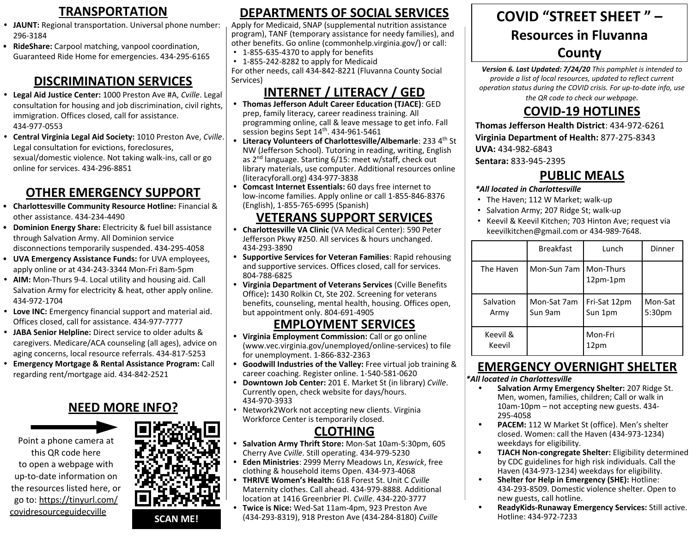- **• JAUNT:** Regional transportation. Universal phone number: 296-3184
- **RideShare:** Carpool matching, vanpool coordination, Guaranteed Ride Home for emergencies. 434-295-6165

#### **DISCRIMINATION SERVICES**

- **• Legal Aid Justice Center:** 1000 Preston Ave #A, *Cville*. Legal consultation for housing and job discrimination, civil rights, immigration. Offices closed, call for assistance. 434-977-0553
- **• Central Virginia Legal Aid Society:** 1010 Preston Ave, *Cville*. Legal consultation for evictions, foreclosures, sexual/domestic violence. Not taking walk-ins, call or go online for services. 434-296-8851

### **OTHER EMERGENCY SUPPORT**

- **Charlottesville Community Resource Hotline:** Financial & other assistance. 434-234-4490
- **Dominion Energy Share:** Electricity & fuel bill assistance through Salvation Army. All Dominion service disconnections temporarily suspended. 434-295-4058
- **UVA Emergency Assistance Funds:** for UVA employees, apply online or at 434-243-3344 Mon-Fri 8am-5pm
- **• AIM:** Mon-Thurs 9-4. Local utility and housing aid. Call Salvation Army for electricity & heat, other apply online. 434-972-1704
- **• Love INC:** Emergency financial support and material aid. Offices closed, call for assistance. 434-977-7777
- **• JABA Senior Helpline:** Direct service to older adults & caregivers. Medicare/ACA counseling (all ages), advice on aging concerns, local resource referrals. 434-817-5253
- **• Emergency Mortgage & Rental Assistance Program:** Call regarding rent/mortgage aid. 434-842-2521

#### **NEED MORE INFO?**



[covidresourceguidecville](https://tinyurl.com/covidresourceguidecville)

go to: [https://tinyurl.com/](https://tinyurl.com/covidresourceguidecville) **SCAN ME!**

#### **TRANSPORTATION DISCRIMINATION SERVICES CLOTHING DEPARTMENTS OF SOCIAL SERVICES**

Apply for Medicaid, SNAP (supplemental nutrition assistance program), TANF (temporary assistance for needy families), and other benefits. Go online (commonhelp.virginia.gov/) or call:

• 1-855-635-4370 to apply for benefits

• 1-855-242-8282 to apply for Medicaid For other needs, call 434-842-8221 (Fluvanna County Social Services)

### **INTERNET / LITERACY / GED**

- **• Thomas Jefferson Adult Career Education (TJACE)**: GED prep, family literacy, career readiness training. All programming online, call & leave message to get info. Fall session begins Sept  $14<sup>th</sup>$ . 434-961-5461
- **Literacy Volunteers of Charlottesville/Albemarle: 233 4<sup>th</sup> St** NW (Jefferson School). Tutoring in reading, writing, English as 2nd language. Starting 6/15: meet w/staff, check out library materials, use computer. Additional resources online (literacyforall.org) 434-977-3838
- **• Comcast Internet Essentials:** 60 days free internet to low-income families. Apply online or call 1-855-846-8376 (English), 1-855-765-6995 (Spanish)

#### **VETERANS SUPPORT SERVICES**

- **• Charlottesville VA Clinic** (VA Medical Center): 590 Peter Jefferson Pkwy #250. All services & hours unchanged. 434-293-3890
- **• Supportive Services for Veteran Families**: Rapid rehousing and supportive services. Offices closed, call for services. 804-788-6825
- **• Virginia Department of Veterans Services** (Cville Benefits Office)**:** 1430 Rolkin Ct, Ste 202. Screening for veterans benefits, counseling, mental health, housing. Offices open, but appointment only. 804-691-4905

#### **EMPLOYMENT SERVICES**

- **• Virginia Employment Commission:** Call or go online (www.vec.virginia.gov/unemployed/online-services) to file for unemployment. 1-866-832-2363
- **• Goodwill Industries of the Valley:** Free virtual job training & career coaching. Register online. 1-540-581-0620
- **• Downtown Job Center:** 201 E. Market St (in library) *Cville*. Currently open, check website for days/hours. 434-970-3933
- Network2Work not accepting new clients. Virginia Workforce Center is temporarily closed.

#### **CLOTHING**

- **• Salvation Army Thrift Store:** Mon-Sat 10am-5:30pm, 605 Cherry Ave *Cville*. Still operating. 434-979-5230
- **• Eden Ministries**: 2999 Merry Meadows Ln, *Keswick*, free clothing & household items Open. 434-973-4068
- **• THRIVE Women's Health:** 618 Forest St. Unit C *Cville*  Maternity clothes. Call ahead. 434-979-8888. Additional location at 1416 Greenbrier Pl. *Cville*. 434-220-3777
- **• Twice is Nice:** Wed-Sat 11am-4pm, 923 Preston Ave (434-293-8319), 918 Preston Ave (434-284-8180) *Cville*

# **COVID "STREET SHEET " – Resources in Fluvanna County**

*Version 6. Last Updated: 7/24/20 This pamphlet is intended to provide a list of local resources, updated to reflect current operation status during the COVID crisis. For up-to-date info, use the QR code to check our webpage.* 

### **COVID-19 HOTLINES**

**Thomas Jefferson Health District**: 434-972-6261 **Virginia Department of Health:** 877-275-8343

**UVA:** 434-982-6843

**Sentara:** 833-945-2395

#### **PUBLIC MEALS**

#### *\*All located in Charlottesville*

- The Haven; 112 W Market; walk-up
	- Salvation Army; 207 Ridge St; walk-up
	- Keevil & Keevil Kitchen; 703 Hinton Ave; request via keevilkitchen@gmail.com or 434-989-7648.

|                    | <b>Breakfast</b>       | Lunch                   | Dinner            |
|--------------------|------------------------|-------------------------|-------------------|
| The Haven          | Mon-Sun 7am            | Mon-Thurs<br>12pm-1pm   |                   |
| Salvation<br>Army  | Mon-Sat 7am<br>Sun 9am | Fri-Sat 12pm<br>Sun 1pm | Mon-Sat<br>5:30pm |
| Keevil &<br>Keevil |                        | Mon-Fri<br>12pm         |                   |

# **EMERGENCY OVERNIGHT SHELTER**

#### *\*All located in Charlottesville*

- **• Salvation Army Emergency Shelter:** 207 Ridge St. Men, women, families, children; Call or walk in 10am-10pm – not accepting new guests. 434- 295-4058
- **• PACEM:** 112 W Market St (office). Men's shelter closed. Women: call the Haven (434-973-1234) weekdays for eligibility.
- **TJACH Non-congregate Shelter:** Eligibility determined by CDC guidelines for high risk individuals. Call the Haven (434-973-1234) weekdays for eligibility.
- **• Shelter for Help in Emergency (SHE):** Hotline: 434-293-8509. Domestic violence shelter. Open to new guests, call hotline.
- **• ReadyKids-Runaway Emergency Services:** Still active. Hotline: 434-972-7233